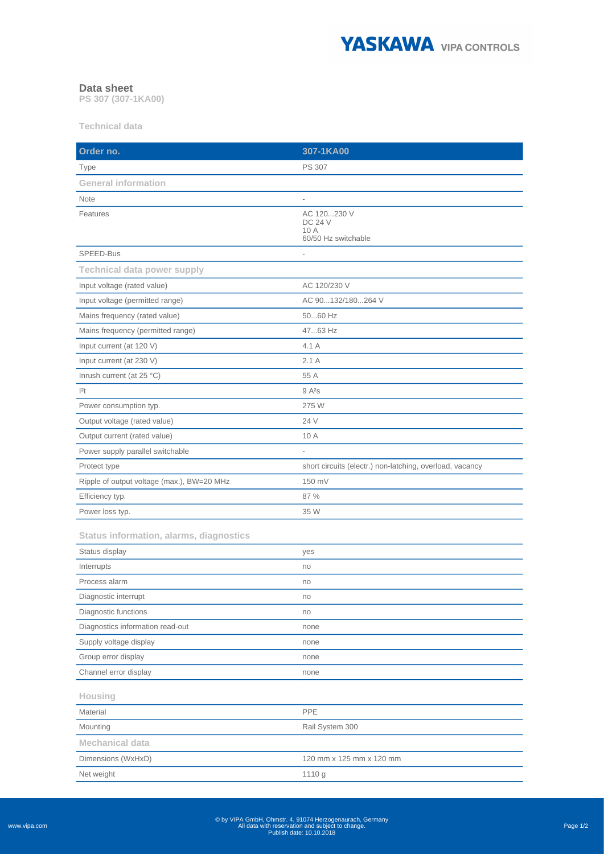

## **Data sheet**

**PS 307 (307-1KA00)**

**Technical data**

| Order no.                                      | 307-1KA00                                                    |
|------------------------------------------------|--------------------------------------------------------------|
| Type                                           | <b>PS 307</b>                                                |
| <b>General information</b>                     |                                                              |
| Note                                           | $\overline{\phantom{a}}$                                     |
| Features                                       | AC 120230 V<br><b>DC 24 V</b><br>10 A<br>60/50 Hz switchable |
| SPEED-Bus                                      | $\overline{\phantom{a}}$                                     |
| <b>Technical data power supply</b>             |                                                              |
| Input voltage (rated value)                    | AC 120/230 V                                                 |
| Input voltage (permitted range)                | AC 90132/180264 V                                            |
| Mains frequency (rated value)                  | 5060 Hz                                                      |
| Mains frequency (permitted range)              | 4763 Hz                                                      |
| Input current (at 120 V)                       | 4.1 A                                                        |
| Input current (at 230 V)                       | 2.1A                                                         |
| Inrush current (at 25 °C)                      | 55 A                                                         |
| 2t                                             | $9A^2s$                                                      |
| Power consumption typ.                         | 275 W                                                        |
| Output voltage (rated value)                   | 24 V                                                         |
| Output current (rated value)                   | 10 A                                                         |
| Power supply parallel switchable               |                                                              |
| Protect type                                   | short circuits (electr.) non-latching, overload, vacancy     |
| Ripple of output voltage (max.), BW=20 MHz     | 150 mV                                                       |
| Efficiency typ.                                | 87 %                                                         |
| Power loss typ.                                | 35 W                                                         |
| <b>Status information, alarms, diagnostics</b> |                                                              |
| Status display                                 | yes                                                          |
| Interrupts                                     | no                                                           |
| Process alarm                                  | no                                                           |
| Diagnostic interrupt                           | 110                                                          |
| Diagnostic functions                           | no                                                           |
| Diagnostics information read-out               | none                                                         |
| Supply voltage display                         | none                                                         |
| Group error display                            | none                                                         |
| Channel error display                          | none                                                         |
| Housing                                        |                                                              |
| Material                                       | PPE                                                          |
| Mounting                                       | Rail System 300                                              |
| <b>Mechanical data</b>                         |                                                              |
| Dimensions (WxHxD)                             | 120 mm x 125 mm x 120 mm                                     |
| Net weight                                     | 1110 g                                                       |